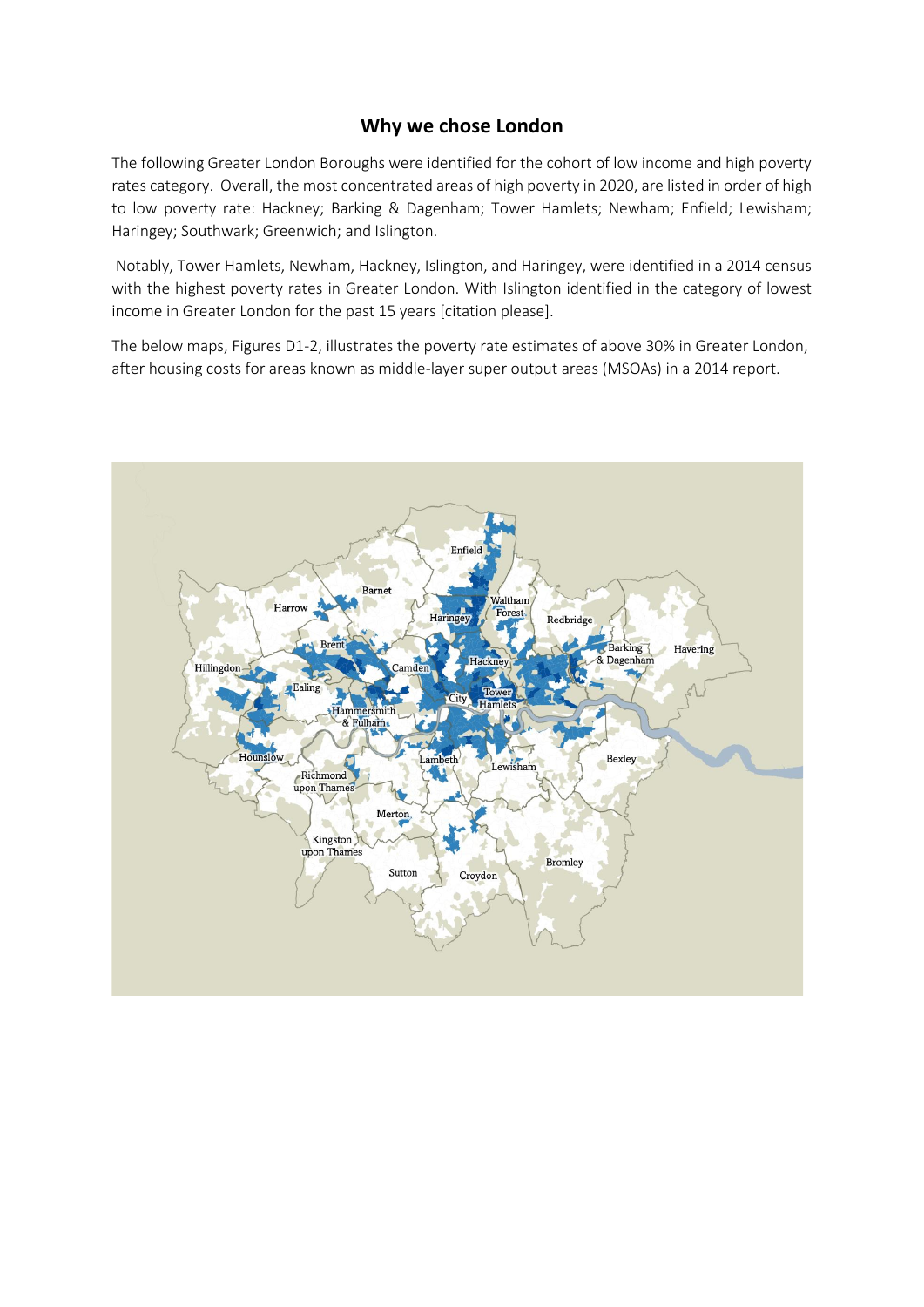## **Why we chose London**

The following Greater London Boroughs were identified for the cohort of low income and high poverty rates category. Overall, the most concentrated areas of high poverty in 2020, are listed in order of high to low poverty rate: Hackney; Barking & Dagenham; Tower Hamlets; Newham; Enfield; Lewisham; Haringey; Southwark; Greenwich; and Islington.

Notably, Tower Hamlets, Newham, Hackney, Islington, and Haringey, were identified in a 2014 census with the highest poverty rates in Greater London. With Islington identified in the category of lowest income in Greater London for the past 15 years [citation please].

The below maps, Figures D1-2, illustrates the poverty rate estimates of above 30% in Greater London, after housing costs for areas known as middle-layer super output areas (MSOAs) in a 2014 report.